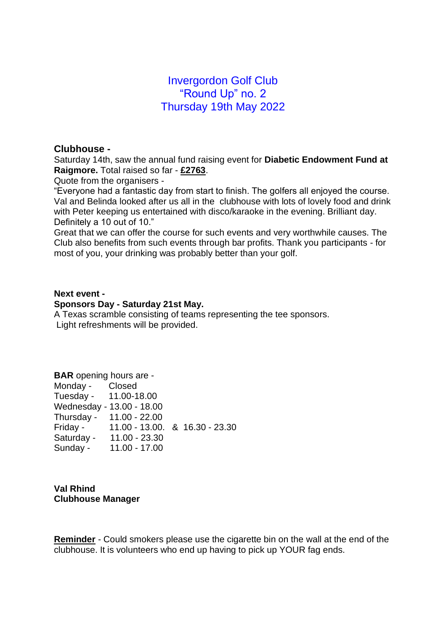# Invergordon Golf Club "Round Up" no. 2 Thursday 19th May 2022

### **Clubhouse -**

Saturday 14th, saw the annual fund raising event for **Diabetic Endowment Fund at Raigmore.** Total raised so far - **£2763**.

Quote from the organisers -

"Everyone had a fantastic day from start to finish. The golfers all enjoyed the course. Val and Belinda looked after us all in the clubhouse with lots of lovely food and drink with Peter keeping us entertained with disco/karaoke in the evening. Brilliant day. Definitely a 10 out of 10."

Great that we can offer the course for such events and very worthwhile causes. The Club also benefits from such events through bar profits. Thank you participants - for most of you, your drinking was probably better than your golf.

#### **Next event -**

#### **Sponsors Day - Saturday 21st May.**

A Texas scramble consisting of teams representing the tee sponsors. Light refreshments will be provided.

| <b>BAR</b> opening hours are - |                                         |  |  |
|--------------------------------|-----------------------------------------|--|--|
| Monday - Closed                |                                         |  |  |
| Tuesday - 11.00-18.00          |                                         |  |  |
|                                | Wednesday - 13.00 - 18.00               |  |  |
|                                | Thursday - 11.00 - 22.00                |  |  |
|                                | Friday - 11.00 - 13.00. & 16.30 - 23.30 |  |  |
|                                | Saturday - 11.00 - 23.30                |  |  |
| Sunday -                       | 11.00 - 17.00                           |  |  |

**Val Rhind Clubhouse Manager**

**Reminder** - Could smokers please use the cigarette bin on the wall at the end of the clubhouse. It is volunteers who end up having to pick up YOUR fag ends.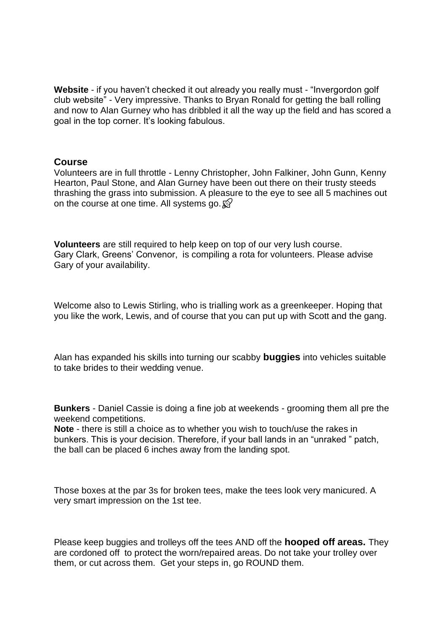**Website** - if you haven't checked it out already you really must - "Invergordon golf club website" - Very impressive. Thanks to Bryan Ronald for getting the ball rolling and now to Alan Gurney who has dribbled it all the way up the field and has scored a goal in the top corner. It's looking fabulous.

### **Course**

Volunteers are in full throttle - Lenny Christopher, John Falkiner, John Gunn, Kenny Hearton, Paul Stone, and Alan Gurney have been out there on their trusty steeds thrashing the grass into submission. A pleasure to the eye to see all 5 machines out on the course at one time. All systems go.  $\mathbb{S}^2$ 

**Volunteers** are still required to help keep on top of our very lush course. Gary Clark, Greens' Convenor, is compiling a rota for volunteers. Please advise Gary of your availability.

Welcome also to Lewis Stirling, who is trialling work as a greenkeeper. Hoping that you like the work, Lewis, and of course that you can put up with Scott and the gang.

Alan has expanded his skills into turning our scabby **buggies** into vehicles suitable to take brides to their wedding venue.

**Bunkers** - Daniel Cassie is doing a fine job at weekends - grooming them all pre the weekend competitions.

**Note** - there is still a choice as to whether you wish to touch/use the rakes in bunkers. This is your decision. Therefore, if your ball lands in an "unraked " patch, the ball can be placed 6 inches away from the landing spot.

Those boxes at the par 3s for broken tees, make the tees look very manicured. A very smart impression on the 1st tee.

Please keep buggies and trolleys off the tees AND off the **hooped off areas.** They are cordoned off to protect the worn/repaired areas. Do not take your trolley over them, or cut across them. Get your steps in, go ROUND them.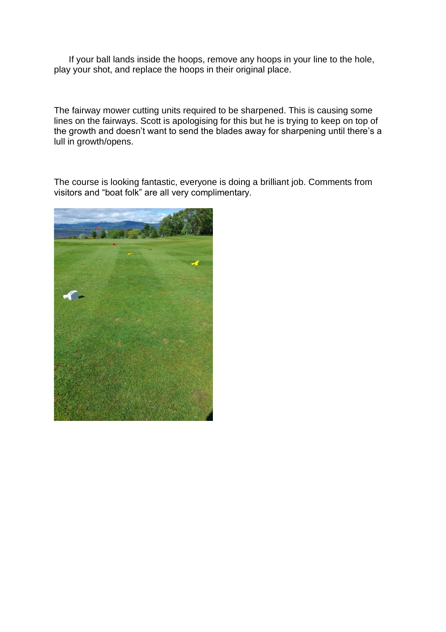If your ball lands inside the hoops, remove any hoops in your line to the hole, play your shot, and replace the hoops in their original place.

The fairway mower cutting units required to be sharpened. This is causing some lines on the fairways. Scott is apologising for this but he is trying to keep on top of the growth and doesn't want to send the blades away for sharpening until there's a lull in growth/opens.

The course is looking fantastic, everyone is doing a brilliant job. Comments from visitors and "boat folk" are all very complimentary.

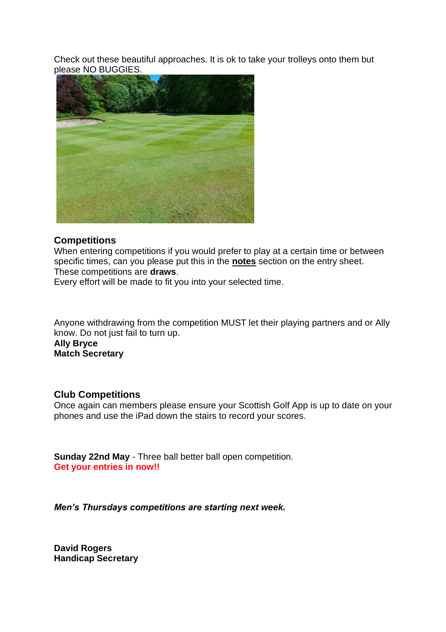Check out these beautiful approaches. It is ok to take your trolleys onto them but please NO BUGGIES.



### **Competitions**

When entering competitions if you would prefer to play at a certain time or between specific times, can you please put this in the **notes** section on the entry sheet. These competitions are **draws**.

Every effort will be made to fit you into your selected time.

Anyone withdrawing from the competition MUST let their playing partners and or Ally know. Do not just fail to turn up.

**Ally Bryce Match Secretary**

# **Club Competitions**

Once again can members please ensure your Scottish Golf App is up to date on your phones and use the iPad down the stairs to record your scores.

**Sunday 22nd May** - Three ball better ball open competition. **Get your entries in now!!**

*Men's Thursdays competitions are starting next week.*

**David Rogers Handicap Secretary**